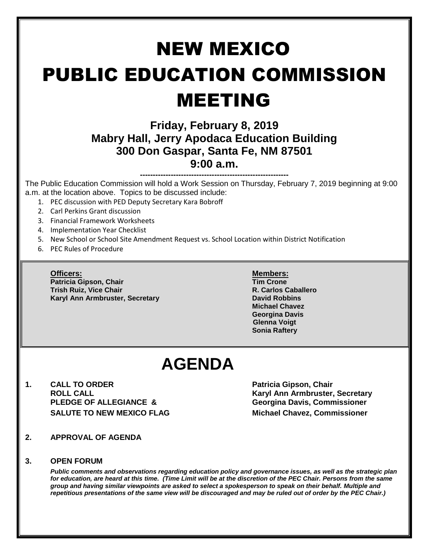# NEW MEXICO PUBLIC EDUCATION COMMISSION MEETING **Friday, February 8, 2019 Mabry Hall, Jerry Apodaca Education Building 300 Don Gaspar, Santa Fe, NM 87501 9:00 a.m.**

**----------------------------------------------------------** The Public Education Commission will hold a Work Session on Thursday, February 7, 2019 beginning at 9:00 a.m. at the location above. Topics to be discussed include:

- 1. PEC discussion with PED Deputy Secretary Kara Bobroff
- 2. Carl Perkins Grant discussion
- 3. Financial Framework Worksheets
- 4. Implementation Year Checklist
- 5. New School or School Site Amendment Request vs. School Location within District Notification
- 6. PEC Rules of Procedure

**Patricia Gipson, Chair Tim Crone Trish Ruiz, Vice Chair R. Carlos Caballero Karyl Ann Armbruster, Secretary <b>David Robbins David Robbins** 

#### **Officers: Members:**

**Michael Chavez Georgina Davis Glenna Voigt Sonia Raftery**

## **AGENDA**

**1. CALL TO ORDER Patricia Gipson, Chair ROLL CALL Karyl Ann Armbruster, Secretary PLEDGE OF ALLEGIANCE & Georgina Davis, Commissioner SALUTE TO NEW MEXICO FLAG Michael Chavez, Commissioner**

- **2. APPROVAL OF AGENDA**
- **3. OPEN FORUM**

*Public comments and observations regarding education policy and governance issues, as well as the strategic plan for education, are heard at this time. (Time Limit will be at the discretion of the PEC Chair. Persons from the same group and having similar viewpoints are asked to select a spokesperson to speak on their behalf. Multiple and repetitious presentations of the same view will be discouraged and may be ruled out of order by the PEC Chair.)*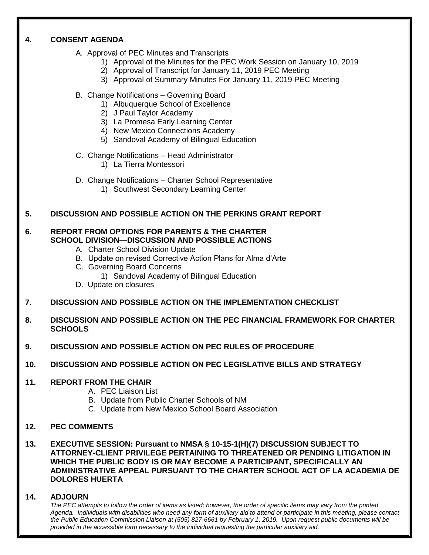#### **4. CONSENT AGENDA**

- A. Approval of PEC Minutes and Transcripts
	- 1) Approval of the Minutes for the PEC Work Session on January 10, 2019
	- 2) Approval of Transcript for January 11, 2019 PEC Meeting
	- 3) Approval of Summary Minutes For January 11, 2019 PEC Meeting
- B. Change Notifications Governing Board
	- 1) Albuquerque School of Excellence
	- 2) J Paul Taylor Academy
	- 3) La Promesa Early Learning Center
	- 4) New Mexico Connections Academy
	- 5) Sandoval Academy of Bilingual Education
- C. Change Notifications Head Administrator
	- 1) La Tierra Montessori
- D. Change Notifications Charter School Representative
	- 1) Southwest Secondary Learning Center

#### **5. DISCUSSION AND POSSIBLE ACTION ON THE PERKINS GRANT REPORT**

#### **6. REPORT FROM OPTIONS FOR PARENTS & THE CHARTER SCHOOL DIVISION—DISCUSSION AND POSSIBLE ACTIONS**

- A. Charter School Division Update
- B. Update on revised Corrective Action Plans for Alma d'Arte
- C. Governing Board Concerns
	- 1) Sandoval Academy of Bilingual Education
- D. Update on closures
- **7. DISCUSSION AND POSSIBLE ACTION ON THE IMPLEMENTATION CHECKLIST**
- **8. DISCUSSION AND POSSIBLE ACTION ON THE PEC FINANCIAL FRAMEWORK FOR CHARTER SCHOOLS**
- **9. DISCUSSION AND POSSIBLE ACTION ON PEC RULES OF PROCEDURE**
- **10. DISCUSSION AND POSSIBLE ACTION ON PEC LEGISLATIVE BILLS AND STRATEGY**

#### **11. REPORT FROM THE CHAIR**

- A. PEC Liaison List
- B. Update from Public Charter Schools of NM
- C. Update from New Mexico School Board Association

#### **12. PEC COMMENTS**

**13. EXECUTIVE SESSION: Pursuant to NMSA § 10-15-1(H)(7) DISCUSSION SUBJECT TO ATTORNEY-CLIENT PRIVILEGE PERTAINING TO THREATENED OR PENDING LITIGATION IN WHICH THE PUBLIC BODY IS OR MAY BECOME A PARTICIPANT, SPECIFICALLY AN ADMINISTRATIVE APPEAL PURSUANT TO THE CHARTER SCHOOL ACT OF LA ACADEMIA DE DOLORES HUERTA**

#### **14. ADJOURN**

*The PEC attempts to follow the order of items as listed; however, the order of specific items may vary from the printed Agenda. Individuals with disabilities who need any form of auxiliary aid to attend or participate in this meeting, please contact the Public Education Commission Liaison at (505) 827-6661 by February 1, 2019. Upon request public documents will be provided in the accessible form necessary to the individual requesting the particular auxiliary aid.*